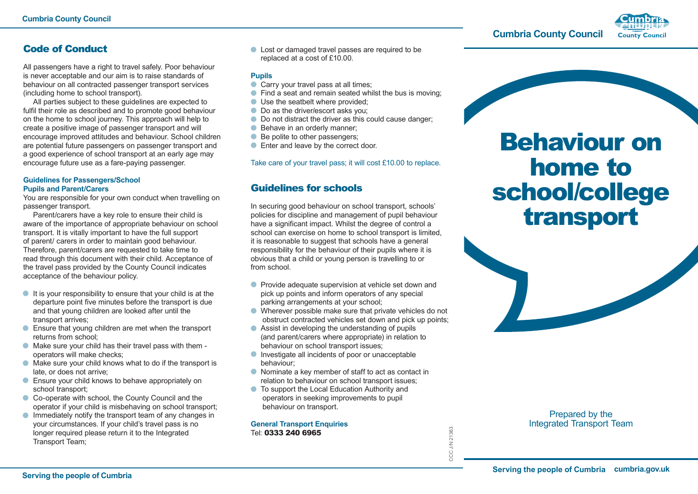**Cumbria County Council**



## Code of Conduct

All passengers have a right to travel safely. Poor behaviour is never acceptable and our aim is to raise standards of behaviour on all contracted passenger transport services (including home to school transport).

All parties subject to these guidelines are expected to fulfil their role as described and to promote good behaviour on the home to school journey. This approach will help to create a positive image of passenger transport and will encourage improved attitudes and behaviour. School children are potential future passengers on passenger transport and a good experience of school transport at an early age may encourage future use as a fare-paying passenger.

#### **Guidelines for Passengers/School Pupils and Parent/Carers**

You are responsible for your own conduct when travelling on passenger transport.

Parent/carers have a key role to ensure their child is aware of the importance of appropriate behaviour on school transport. It is vitally important to have the full support of parent/ carers in order to maintain good behaviour. Therefore, parent/carers are requested to take time to read through this document with their child. Acceptance of the travel pass provided by the County Council indicates acceptance of the behaviour policy.

- $\bullet$  It is your responsibility to ensure that your child is at the departure point five minutes before the transport is due and that young children are looked after until the transport arrives;
- **Ensure that young children are met when the transport** returns from school;
- Make sure your child has their travel pass with them operators will make checks;
- Make sure your child knows what to do if the transport is late, or does not arrive;
- **Ensure your child knows to behave appropriately on** school transport;
- Co-operate with school, the County Council and the operator if your child is misbehaving on school transport;
- $\bullet$  Immediately notify the transport team of any changes in your circumstances. If your child's travel pass is no longer required please return it to the Integrated Transport Team;

**C** Lost or damaged travel passes are required to be replaced at a cost of £10.00.

### **Pupils**

- Carry your travel pass at all times;
- Find a seat and remain seated whilst the bus is moving:
- Use the seatbelt where provided:
- Do as the driver/escort asks you;
- $\bullet$  Do not distract the driver as this could cause danger;
- Behave in an orderly manner;
- Be polite to other passengers;
- **Enter and leave by the correct door.**

Take care of your travel pass; it will cost £10.00 to replace.

# Guidelines for schools

In securing good behaviour on school transport, schools' policies for discipline and management of pupil behaviour have a significant impact. Whilst the degree of control a school can exercise on home to school transport is limited, it is reasonable to suggest that schools have a general responsibility for the behaviour of their pupils where it is obvious that a child or young person is travelling to or from school.

- **•** Provide adequate supervision at vehicle set down and pick up points and inform operators of any special parking arrangements at your school;
- Wherever possible make sure that private vehicles do not obstruct contracted vehicles set down and pick up points;
- Assist in developing the understanding of pupils (and parent/carers where appropriate) in relation to behaviour on school transport issues;
- **Investigate all incidents of poor or unacceptable** behaviour;
- Nominate a key member of staff to act as contact in relation to behaviour on school transport issues;

CCC J/N 21363

CC

J/N 21363

● To support the Local Education Authority and operators in seeking improvements to pupil behaviour on transport.

**General Transport Enquiries** Tel: 0333 240 6965

Behaviour on home to school/college transport

> Prepared by the Integrated Transport Team